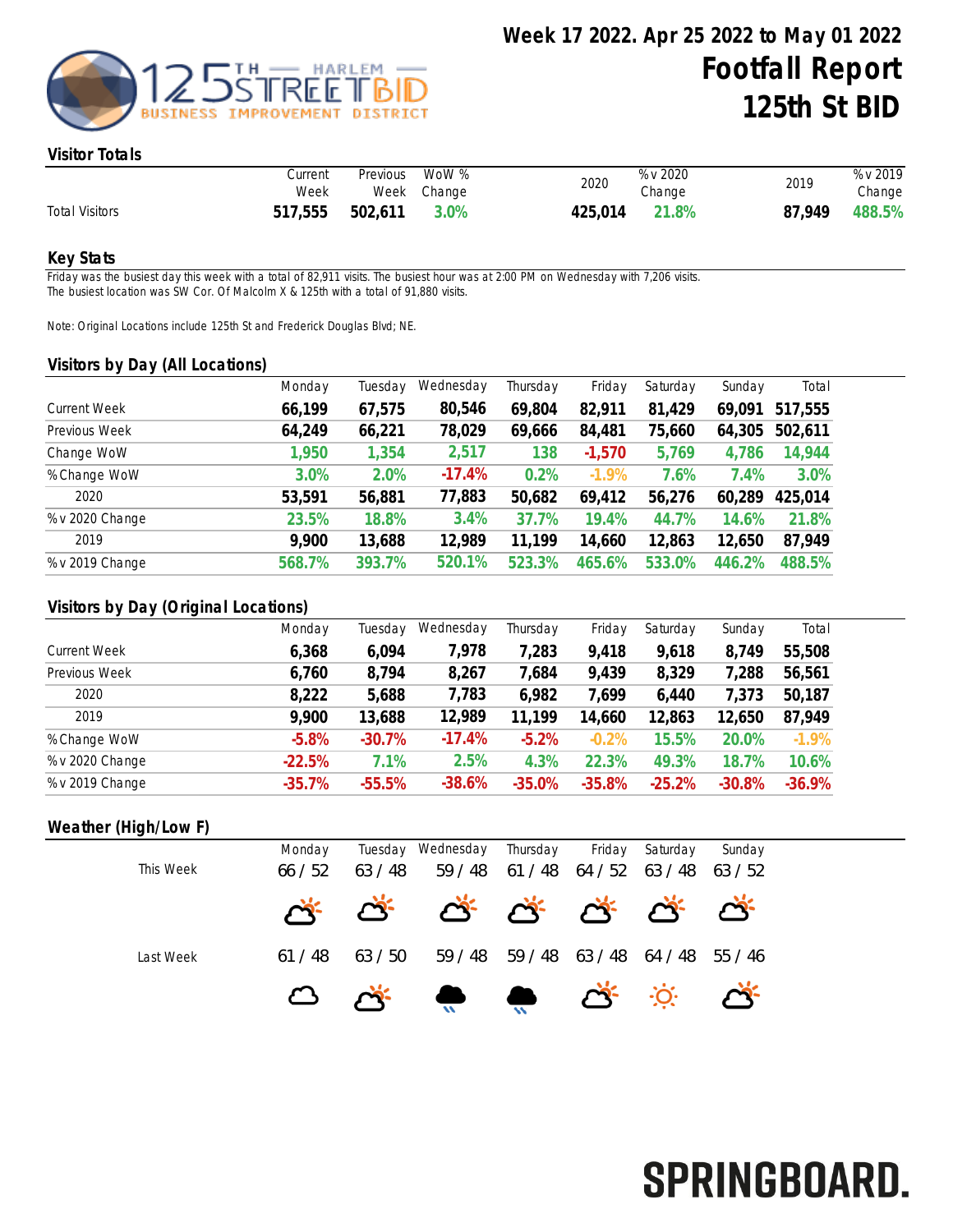

#### Visitor Totals

|                       | Current<br>Week | Previous | WoW %<br>Week Change | 2020    | % v 2020<br>Change | 2019   | % v 2019<br>Change |
|-----------------------|-----------------|----------|----------------------|---------|--------------------|--------|--------------------|
| <b>Total Visitors</b> | 517,555         | 502,611  | 3.0%                 | 425.014 | 21.8%              | 87.949 | 488.5%             |

#### Key Stats

Friday was the busiest day this week with a total of 82,911 visits. The busiest hour was at 2:00 PM on Wednesday with 7,206 visits. The busiest location was SW Cor. Of Malcolm X & 125th with a total of 91,880 visits.

Note: Original Locations include 125th St and Frederick Douglas Blvd; NE.

#### Visitors by Day (All Locations)

|                     | Monday | Tuesday | Wednesday | Thursday | Friday   | Saturday | Sunday | Total   |
|---------------------|--------|---------|-----------|----------|----------|----------|--------|---------|
| <b>Current Week</b> | 66,199 | 67,575  | 80,546    | 69,804   | 82,911   | 81,429   | 69,091 | 517,555 |
| Previous Week       | 64,249 | 66,221  | 78,029    | 69,666   | 84,481   | 75,660   | 64,305 | 502,611 |
| Change WoW          | 1,950  | 1,354   | 2,517     | 138      | $-1,570$ | 5,769    | 4,786  | 14,944  |
| % Change WoW        | 3.0%   | 2.0%    | $-17.4%$  | 0.2%     | $-1.9%$  | 7.6%     | 7.4%   | 3.0%    |
| 2020                | 53,591 | 56,881  | 77,883    | 50,682   | 69,412   | 56,276   | 60,289 | 425,014 |
| % v 2020 Change     | 23.5%  | 18.8%   | 3.4%      | 37.7%    | 19.4%    | 44.7%    | 14.6%  | 21.8%   |
| 2019                | 9,900  | 13,688  | 12,989    | 11,199   | 14,660   | 12,863   | 12,650 | 87,949  |
| % v 2019 Change     | 568.7% | 393.7%  | 520.1%    | 523.3%   | 465.6%   | 533.0%   | 446.2% | 488.5%  |
|                     |        |         |           |          |          |          |        |         |

## Visitors by Day (Original Locations)

|                     | Monday   | Tuesday  | Wednesday | Thursday | Friday   | Saturday | Sunday   | Total    |
|---------------------|----------|----------|-----------|----------|----------|----------|----------|----------|
| <b>Current Week</b> | 6,368    | 6,094    | 7,978     | 7,283    | 9,418    | 9,618    | 8,749    | 55,508   |
| Previous Week       | 6,760    | 8,794    | 8,267     | 7,684    | 9,439    | 8,329    | ,288     | 56,561   |
| 2020                | 8,222    | 5,688    | 7,783     | 6,982    | 7,699    | 6,440    | 7,373    | 50,187   |
| 2019                | 9,900    | 13,688   | 12,989    | 11,199   | 14,660   | 12,863   | 12,650   | 87,949   |
| % Change WoW        | $-5.8%$  | $-30.7%$ | $-17.4%$  | $-5.2%$  | $-0.2%$  | 15.5%    | 20.0%    | $-1.9\%$ |
| % v 2020 Change     | $-22.5%$ | 7.1%     | 2.5%      | 4.3%     | 22.3%    | 49.3%    | 18.7%    | 10.6%    |
| % v 2019 Change     | $-35.7%$ | $-55.5%$ | $-38.6%$  | $-35.0%$ | $-35.8%$ | $-25.2%$ | $-30.8%$ | $-36.9%$ |

## Weather (High/Low F)

| This Week | Monday<br>66/52 | 63 / 48 | Tuesday Wednesday Thursday | 59 / 48 61 / 48 64 / 52 63 / 48 63 / 52 | Friday                  | Saturday | Sunday  |
|-----------|-----------------|---------|----------------------------|-----------------------------------------|-------------------------|----------|---------|
|           |                 |         | * * * * * * * * *          |                                         |                         |          |         |
| Last Week | 61/48           | 63 / 50 | 59 / 48                    |                                         | 59 / 48 63 / 48 64 / 48 |          | 55 / 46 |
|           |                 |         | 凸述,身合,                     |                                         |                         |          |         |

# SPRINGBOARD.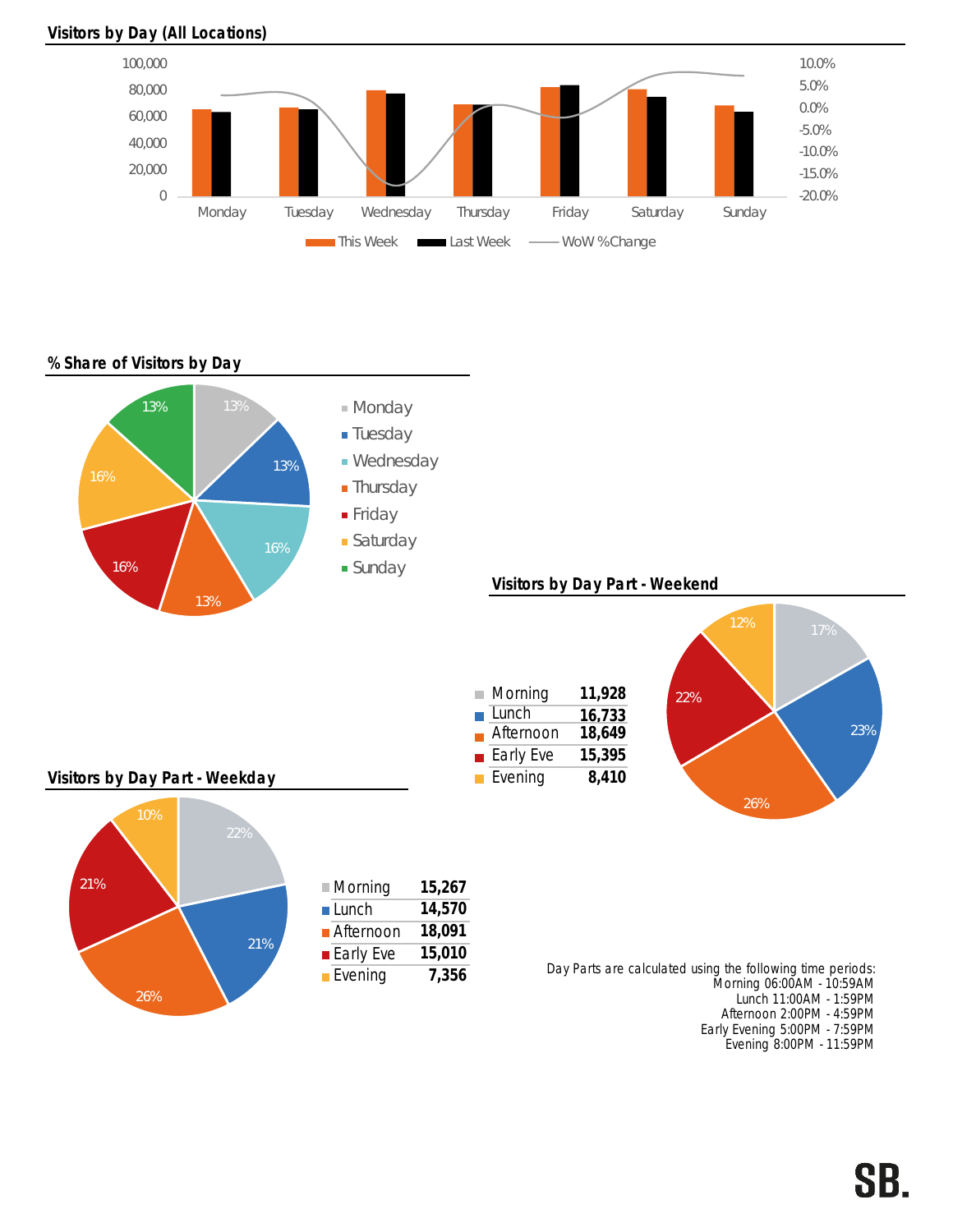

#### Visitors by Day (All Locations)

## % Share of Visitors by Day



Early Evening 5:00PM - 7:59PM Evening 8:00PM - 11:59PM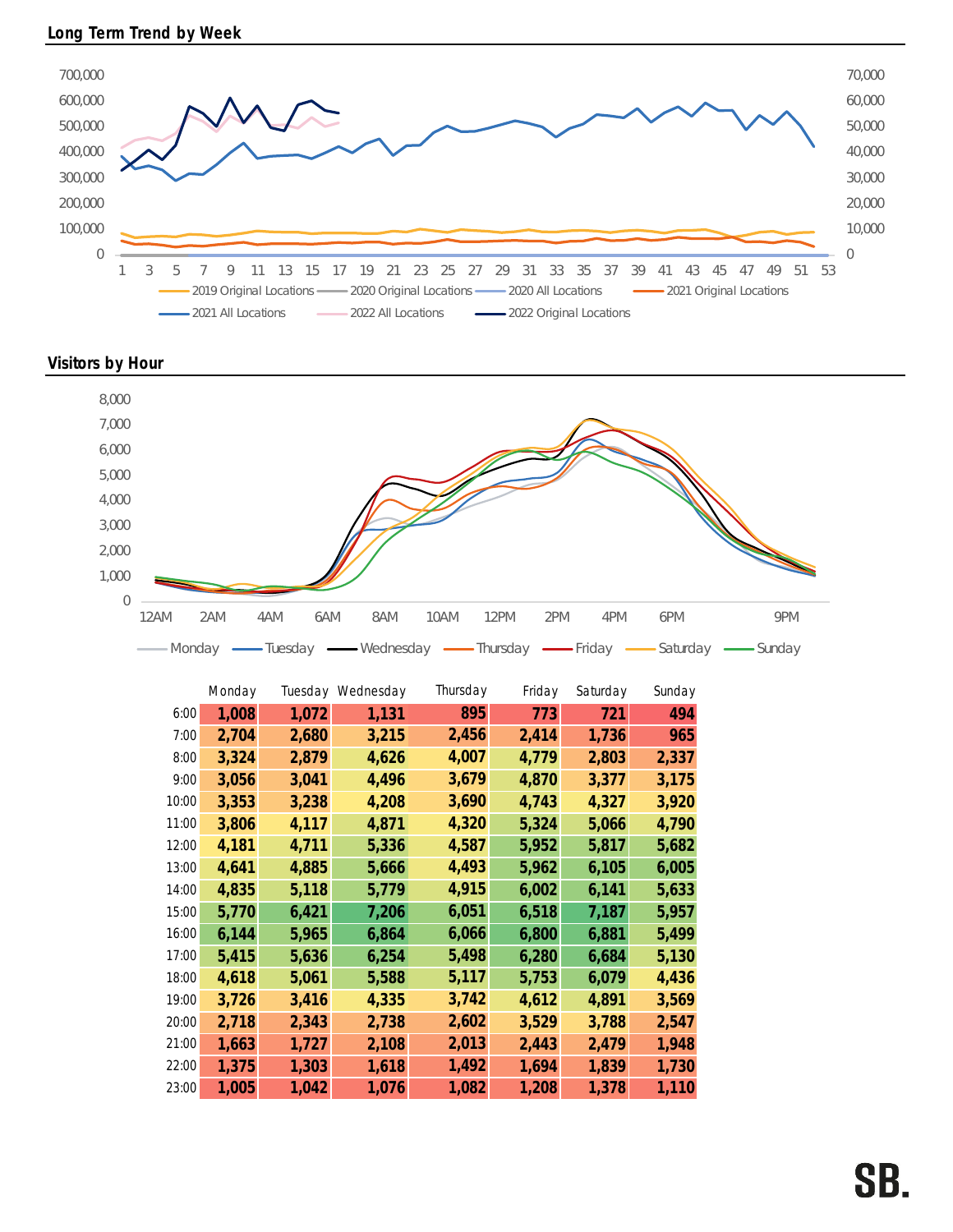

Visitors by Hour



|       | Monday |       | Tuesday Wednesday | Thursday | Friday | Saturday | Sunday |
|-------|--------|-------|-------------------|----------|--------|----------|--------|
| 6:00  | 1,008  | 1,072 | 1,131             | 895      | 773    | 721      | 494    |
| 7:00  | 2,704  | 2,680 | 3,215             | 2,456    | 2,414  | 1,736    | 965    |
| 8:00  | 3,324  | 2,879 | 4,626             | 4,007    | 4,779  | 2,803    | 2,337  |
| 9:00  | 3,056  | 3,041 | 4,496             | 3,679    | 4,870  | 3,377    | 3,175  |
| 10:00 | 3,353  | 3,238 | 4,208             | 3,690    | 4,743  | 4,327    | 3,920  |
| 11:00 | 3,806  | 4,117 | 4,871             | 4,320    | 5,324  | 5,066    | 4,790  |
| 12:00 | 4,181  | 4,711 | 5,336             | 4,587    | 5,952  | 5,817    | 5,682  |
| 13:00 | 4,641  | 4,885 | 5,666             | 4,493    | 5,962  | 6,105    | 6,005  |
| 14:00 | 4,835  | 5,118 | 5,779             | 4,915    | 6,002  | 6,141    | 5,633  |
| 15:00 | 5,770  | 6,421 | 7,206             | 6,051    | 6,518  | 7,187    | 5,957  |
| 16:00 | 6,144  | 5,965 | 6,864             | 6,066    | 6,800  | 6,881    | 5,499  |
| 17:00 | 5,415  | 5,636 | 6,254             | 5,498    | 6,280  | 6,684    | 5,130  |
| 18:00 | 4,618  | 5,061 | 5,588             | 5,117    | 5,753  | 6,079    | 4,436  |
| 19:00 | 3,726  | 3,416 | 4,335             | 3,742    | 4,612  | 4,891    | 3,569  |
| 20:00 | 2,718  | 2,343 | 2,738             | 2,602    | 3,529  | 3,788    | 2,547  |
| 21:00 | 1,663  | 1,727 | 2,108             | 2,013    | 2,443  | 2,479    | 1,948  |
| 22:00 | 1,375  | 1,303 | 1,618             | 1,492    | 1,694  | 1,839    | 1,730  |
| 23:00 | 1,005  | 1,042 | 1,076             | 1,082    | 1,208  | 1,378    | 1,110  |